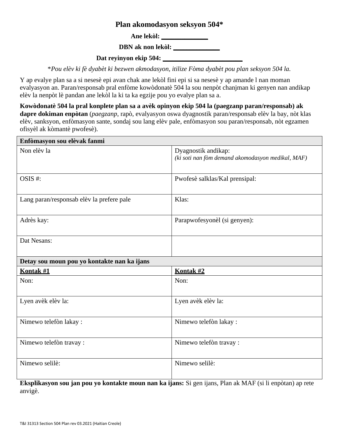## **Plan akomodasyon seksyon 504\***

**Ane lekòl: \_\_\_\_\_\_\_\_\_\_\_\_\_\_**

**DBN ak non lekòl: \_\_\_\_\_\_\_\_\_\_\_\_\_\_**

**Dat reyinyon ekip 504: \_\_\_\_\_\_\_\_\_\_\_\_\_\_\_\_\_\_\_\_\_\_\_\_**

\**Pou elèv ki fè dyabèt ki bezwen akmodasyon, itilize Fòma dyabèt pou plan seksyon 504 la.*

Y ap evalye plan sa a si nesesè epi avan chak ane lekòl fini epi si sa nesesè y ap amande l nan moman evalyasyon an. Paran/responsab pral enfòme kowòdonatè 504 la sou nenpòt chanjman ki genyen nan andikap elèv la nenpòt lè pandan ane lekòl la ki ta ka egzije pou yo evalye plan sa a.

**Kowòdonatè 504 la pral konplete plan sa a avèk opinyon ekip 504 la (paegzanp paran/responsab) ak dapre dokiman enpòtan** (*paegzanp*, rapò, evalyasyon oswa dyagnostik paran/responsab elèv la bay, nòt klas elèv, sanksyon, enfòmasyon sante, sondaj sou lang elèv pale, enfòmasyon sou paran/responsab, nòt egzamen ofisyèl ak kòmantè pwofesè).

| Enfòmasyon sou elèvak fanmi                 |                                                                          |
|---------------------------------------------|--------------------------------------------------------------------------|
| Non elèv la                                 | Dyagnostik andikap:<br>(ki soti nan fòm demand akomodasyon medikal, MAF) |
| OSIS#:                                      | Pwofesè salklas/Kal prensipal:                                           |
| Lang paran/responsab elèv la prefere pale   | Klas:                                                                    |
| Adrès kay:                                  | Parapwofesyonèl (si genyen):                                             |
| Dat Nesans:                                 |                                                                          |
| Detay sou moun pou yo kontakte nan ka ijans |                                                                          |
| Kontak #1                                   | Kontak #2                                                                |
| Non:                                        | Non:                                                                     |
|                                             |                                                                          |
| Lyen avèk elèv la:                          | Lyen avèk elèv la:                                                       |
| Nimewo telefòn lakay:                       | Nimewo telefòn lakay:                                                    |
| Nimewo telefòn travay :                     | Nimewo telefòn travay :                                                  |

**Eksplikasyon sou jan pou yo kontakte moun nan ka ijans:** Si gen ijans, Plan ak MAF (si li enpòtan) ap rete anvigè.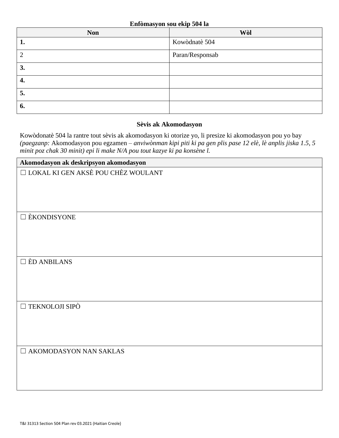| <b>Non</b> | Wòl             |
|------------|-----------------|
| ı.         | Kowòdnatè 504   |
|            | Paran/Responsab |
| 3.         |                 |
| 4.         |                 |
| 5.         |                 |
| 6.         |                 |

## **Sèvis ak Akomodasyon**

Kowòdonatè 504 la rantre tout sèvis ak akomodasyon ki otorize yo, li presize ki akomodasyon pou yo bay *(paegzanp:* Akomodasyon pou egzamen *– anviwònman kipi piti ki pa gen plis pase 12 elè, lè anplis jiska 1.5, 5 minit poz chak 30 minit) epi li make N/A pou tout kazye ki pa konsène l.*

| Akomodasyon ak deskripsyon akomodasyon    |
|-------------------------------------------|
| $\Box$ LOKAL KI GEN AKSÈ POU CHÈZ WOULANT |
|                                           |
|                                           |
|                                           |
| $\square$ EKONDISYONE                     |
|                                           |
|                                           |
|                                           |
| $\square$ ÈD ANBILANS                     |
|                                           |
|                                           |
|                                           |
|                                           |
| $\Box$ TEKNOLOJI SIPÒ                     |
|                                           |
|                                           |
|                                           |
| $\Box$ AKOMODASYON NAN SAKLAS             |
|                                           |
|                                           |
|                                           |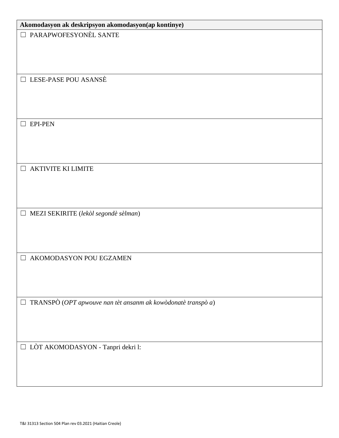| Akomodasyon ak deskripsyon akomodasyon(ap kontinye)                    |
|------------------------------------------------------------------------|
| PARAPWOFESYONÈL SANTE<br>$\Box$                                        |
|                                                                        |
|                                                                        |
|                                                                        |
|                                                                        |
| $\Box$ LESE-PASE POU ASANSÈ                                            |
|                                                                        |
|                                                                        |
|                                                                        |
| <b>EPI-PEN</b><br>$\Box$                                               |
|                                                                        |
|                                                                        |
|                                                                        |
|                                                                        |
| <b>AKTIVITE KI LIMITE</b><br>$\Box$                                    |
|                                                                        |
|                                                                        |
|                                                                        |
| $\Box$ MEZI SEKIRITE (lekòl segondè sèlman)                            |
|                                                                        |
|                                                                        |
|                                                                        |
|                                                                        |
| $\Box$ AKOMODASYON POU EGZAMEN                                         |
|                                                                        |
|                                                                        |
|                                                                        |
| TRANSPÒ (OPT apwouve nan tèt ansanm ak kowòdonatè transpò a)<br>$\Box$ |
|                                                                        |
|                                                                        |
|                                                                        |
|                                                                        |
| $\Box$ LÒT AKOMODASYON - Tanpri dekri l:                               |
|                                                                        |
|                                                                        |
|                                                                        |
|                                                                        |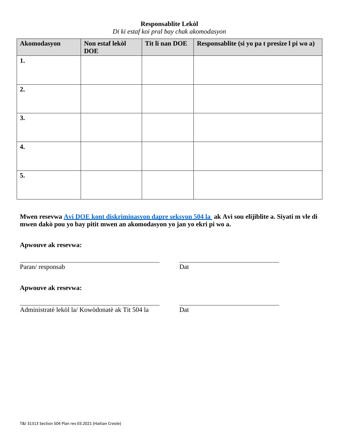## **Responsablite Lekòl**

*Di ki estaf koi pral bay chak akomodasyon*

| Akomodasyon | Non estaf lekòl<br><b>DOE</b> | Tit li nan DOE | Responsablite (si yo pa t presize l pi wo a) |
|-------------|-------------------------------|----------------|----------------------------------------------|
| 1.          |                               |                |                                              |
|             |                               |                |                                              |
| 2.          |                               |                |                                              |
| 3.          |                               |                |                                              |
| 4.          |                               |                |                                              |
| 5.          |                               |                |                                              |

**Mwen resevwa [Avi DOE kont diskriminasyon dapre seksyon 504 la](https://cdn-blob-prd.azureedge.net/prd-pws/docs/default-source/default-document-library/notice-of-non-discrimination-under-504---accessible.pdf?sfvrsn=9ae3dab4_2) ak Avi sou elijiblite a. Siyati m vle di mwen dakò pou yo bay pitit mwen an akomodasyon yo jan yo ekri pi wo a.**

**Apwouve ak resevwa:**

Paran/ responsab Dat

**Apwouve ak resevwa:**

Administratè lekòl la/ Kowòdonatè ak Tit 504 la Dat